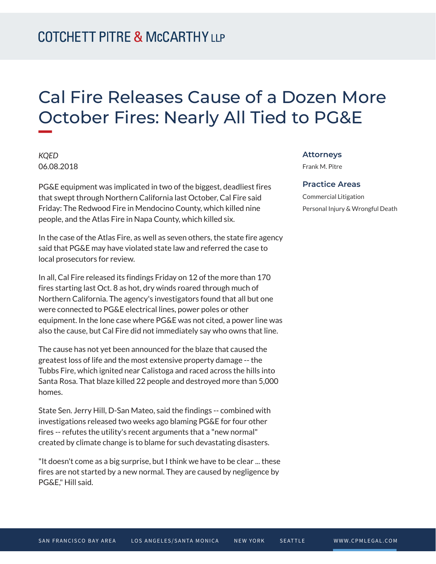# Cal Fire Releases Cause of a Dozen More October Fires: Nearly All Tied to PG&E

*KQED* 06.08.2018

**William** 

PG&E equipment was implicated in two of the biggest, deadliest fires that swept through Northern California last October, Cal Fire said Friday: The Redwood Fire in Mendocino County, which killed nine people, and the Atlas Fire in Napa County, which killed six.

In the case of the Atlas Fire, as well as seven others, the state fire agency said that PG&E may have violated state law and referred the case to local prosecutors for review.

In all, Cal Fire released its findings Friday on 12 of the more than 170 fires starting last Oct. 8 as hot, dry winds roared through much of Northern California. The agency's investigators found that all but one were connected to PG&E electrical lines, power poles or other equipment. In the lone case where PG&E was not cited, a power line was also the cause, but Cal Fire did not immediately say who owns that line.

The cause has not yet been announced for the blaze that caused the greatest loss of life and the most extensive property damage -- the Tubbs Fire, which ignited near Calistoga and raced across the hills into Santa Rosa. That blaze killed 22 people and destroyed more than 5,000 homes.

State Sen. Jerry Hill, D-San Mateo, said the findings -- combined with investigations released two weeks ago blaming PG&E for four other fires -- refutes the utility's recent arguments that a "new normal" created by climate change is to blame for such devastating disasters.

"It doesn't come as a big surprise, but I think we have to be clear ... these fires are not started by a new normal. They are caused by negligence by PG&E," Hill said.

#### **Attorneys**

Frank M. Pitre

#### **Practice Areas**

Commercial Litigation Personal Injury & Wrongful Death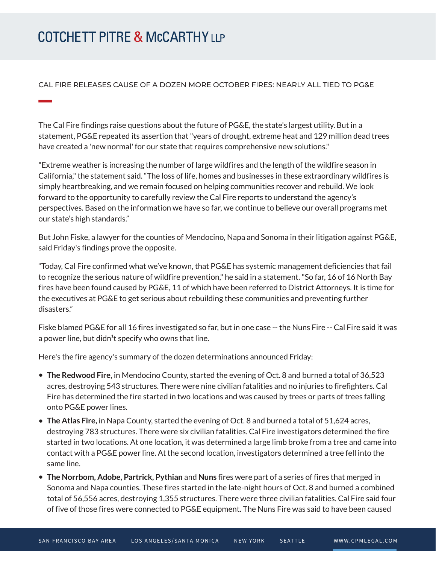## **COTCHETT PITRE & McCARTHY LLP**

### CAL FIRE RELEASES CAUSE OF A DOZEN MORE OCTOBER FIRES: NEARLY ALL TIED TO PG&E

The Cal Fire findings raise questions about the future of PG&E, the state's largest utility. But in a statement, PG&E repeated its assertion that "years of drought, extreme heat and 129 million dead trees have created a 'new normal' for our state that requires comprehensive new solutions."

"Extreme weather is increasing the number of large wildfires and the length of the wildfire season in California," the statement said. "The loss of life, homes and businesses in these extraordinary wildfires is simply heartbreaking, and we remain focused on helping communities recover and rebuild. We look forward to the opportunity to carefully review the Cal Fire reports to understand the agency's perspectives. Based on the information we have so far, we continue to believe our overall programs met our state's high standards."

But John Fiske, a lawyer for the counties of Mendocino, Napa and Sonoma in their litigation against PG&E, said Friday's findings prove the opposite.

"Today, Cal Fire confirmed what we've known, that PG&E has systemic management deficiencies that fail to recognize the serious nature of wildfire prevention," he said in a statement. "So far, 16 of 16 North Bay fires have been found caused by PG&E, 11 of which have been referred to District Attorneys. It is time for the executives at PG&E to get serious about rebuilding these communities and preventing further disasters."

Fiske blamed PG&E for all 16 fires investigated so far, but in one case -- the Nuns Fire -- Cal Fire said it was a power line, but didn<sup>1</sup>t specify who owns that line.

Here's the fire agency's summary of the dozen determinations announced Friday:

- **The Redwood Fire,** in Mendocino County, started the evening of Oct. 8 and burned a total of 36,523 acres, destroying 543 structures. There were nine civilian fatalities and no injuries to firefighters. Cal Fire has determined the fire started in two locations and was caused by trees or parts of trees falling onto PG&E power lines.
- **The Atlas Fire,** in Napa County, started the evening of Oct. 8 and burned a total of 51,624 acres, destroying 783 structures. There were six civilian fatalities. Cal Fire investigators determined the fire started in two locations. At one location, it was determined a large limb broke from a tree and came into contact with a PG&E power line. At the second location, investigators determined a tree fell into the same line.
- **The Norrbom, Adobe, Partrick, Pythian** and **Nuns** fires were part of a series of fires that merged in Sonoma and Napa counties. These fires started in the late-night hours of Oct. 8 and burned a combined total of 56,556 acres, destroying 1,355 structures. There were three civilian fatalities. Cal Fire said four of five of those fires were connected to PG&E equipment. The Nuns Fire was said to have been caused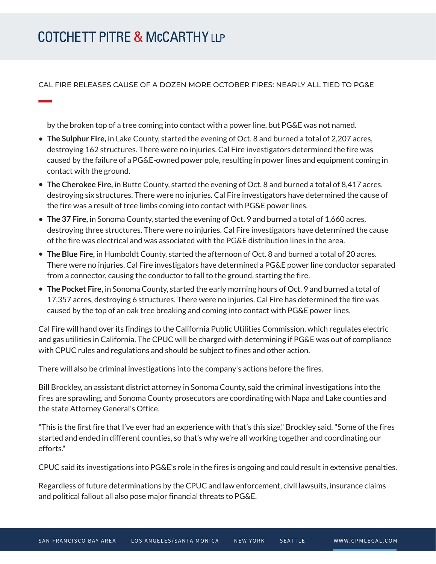CAL FIRE RELEASES CAUSE OF A DOZEN MORE OCTOBER FIRES: NEARLY ALL TIED TO PG&E

by the broken top of a tree coming into contact with a power line, but PG&E was not named.

- **The Sulphur Fire,** in Lake County, started the evening of Oct. 8 and burned a total of 2,207 acres, destroying 162 structures. There were no injuries. Cal Fire investigators determined the fire was caused by the failure of a PG&E-owned power pole, resulting in power lines and equipment coming in contact with the ground.
- **The Cherokee Fire,** in Butte County, started the evening of Oct. 8 and burned a total of 8,417 acres, destroying six structures. There were no injuries. Cal Fire investigators have determined the cause of the fire was a result of tree limbs coming into contact with PG&E power lines.
- **The 37 Fire,** in Sonoma County, started the evening of Oct. 9 and burned a total of 1,660 acres, destroying three structures. There were no injuries. Cal Fire investigators have determined the cause of the fire was electrical and was associated with the PG&E distribution lines in the area.
- **The Blue Fire,** in Humboldt County, started the afternoon of Oct. 8 and burned a total of 20 acres. There were no injuries. Cal Fire investigators have determined a PG&E power line conductor separated from a connector, causing the conductor to fall to the ground, starting the fire.
- **The Pocket Fire,** in Sonoma County, started the early morning hours of Oct. 9 and burned a total of 17,357 acres, destroying 6 structures. There were no injuries. Cal Fire has determined the fire was caused by the top of an oak tree breaking and coming into contact with PG&E power lines.

Cal Fire will hand over its findings to the California Public Utilities Commission, which regulates electric and gas utilities in California. The CPUC will be charged with determining if PG&E was out of compliance with CPUC rules and regulations and should be subject to fines and other action.

There will also be criminal investigations into the company's actions before the fires.

Bill Brockley, an assistant district attorney in Sonoma County, said the criminal investigations into the fires are sprawling, and Sonoma County prosecutors are coordinating with Napa and Lake counties and the state Attorney General's Office.

"This is the first fire that I've ever had an experience with that's this size," Brockley said. "Some of the fires started and ended in different counties, so that's why we're all working together and coordinating our efforts."

CPUC said its investigations into PG&E's role in the fires is ongoing and could result in extensive penalties.

Regardless of future determinations by the CPUC and law enforcement, civil lawsuits, insurance claims and political fallout all also pose major financial threats to PG&E.